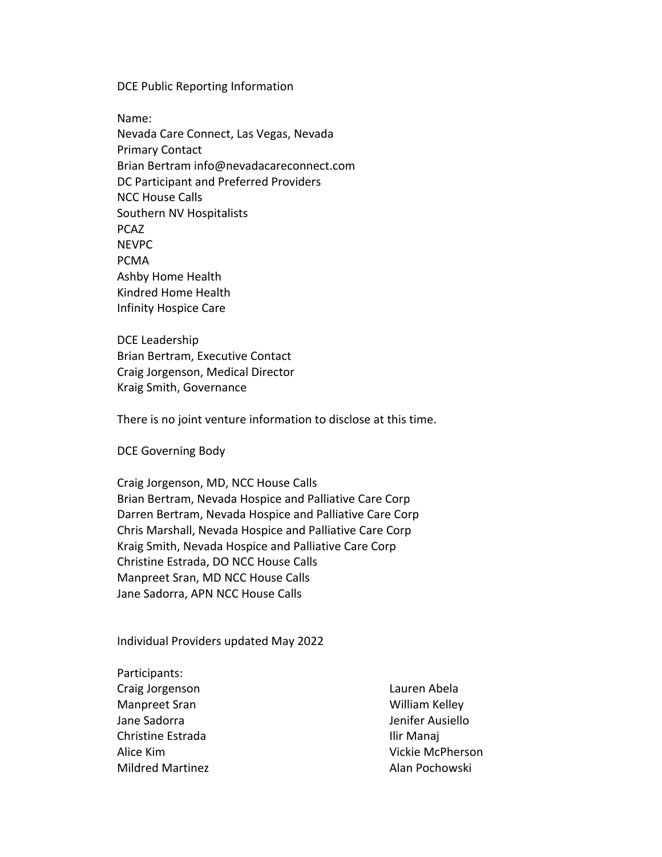DCE Public Reporting Information

Name: Nevada Care Connect, Las Vegas, Nevada Primary Contact Brian Bertram info@nevadacareconnect.com DC Participant and Preferred Providers NCC House Calls Southern NV Hospitalists PCAZ NEVPC PCMA Ashby Home Health Kindred Home Health Infinity Hospice Care

DCE Leadership Brian Bertram, Executive Contact Craig Jorgenson, Medical Director Kraig Smith, Governance

There is no joint venture information to disclose at this time.

DCE Governing Body

Craig Jorgenson, MD, NCC House Calls Brian Bertram, Nevada Hospice and Palliative Care Corp Darren Bertram, Nevada Hospice and Palliative Care Corp Chris Marshall, Nevada Hospice and Palliative Care Corp Kraig Smith, Nevada Hospice and Palliative Care Corp Christine Estrada, DO NCC House Calls Manpreet Sran, MD NCC House Calls Jane Sadorra, APN NCC House Calls

Individual Providers updated May 2022

Participants: Craig Jorgenson Manpreet Sran Jane Sadorra Christine Estrada Alice Kim Mildred Martinez

Lauren Abela William Kelley Jenifer Ausiello Ilir Manaj Vickie McPherson Alan Pochowski